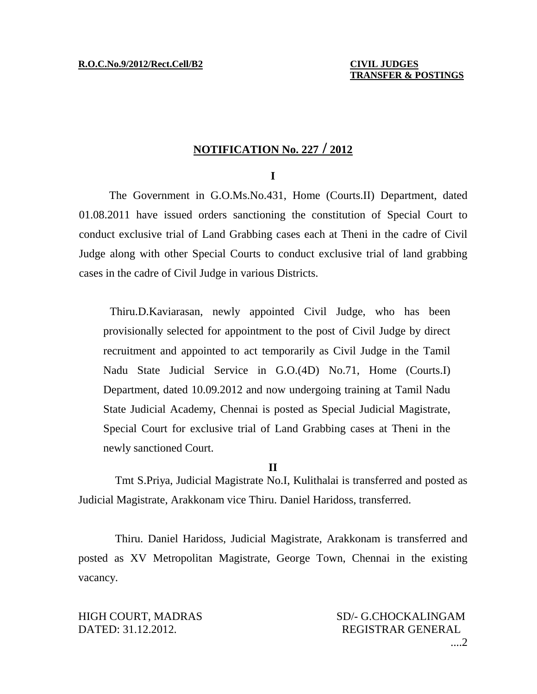## **NOTIFICATION No. 227 / 2012**

## **I**

The Government in G.O.Ms.No.431, Home (Courts.II) Department, dated 01.08.2011 have issued orders sanctioning the constitution of Special Court to conduct exclusive trial of Land Grabbing cases each at Theni in the cadre of Civil Judge along with other Special Courts to conduct exclusive trial of land grabbing cases in the cadre of Civil Judge in various Districts.

Thiru.D.Kaviarasan, newly appointed Civil Judge, who has been provisionally selected for appointment to the post of Civil Judge by direct recruitment and appointed to act temporarily as Civil Judge in the Tamil Nadu State Judicial Service in G.O.(4D) No.71, Home (Courts.I) Department, dated 10.09.2012 and now undergoing training at Tamil Nadu State Judicial Academy, Chennai is posted as Special Judicial Magistrate, Special Court for exclusive trial of Land Grabbing cases at Theni in the newly sanctioned Court.

## **II**

Tmt S.Priya, Judicial Magistrate No.I, Kulithalai is transferred and posted as Judicial Magistrate, Arakkonam vice Thiru. Daniel Haridoss, transferred.

Thiru. Daniel Haridoss, Judicial Magistrate, Arakkonam is transferred and posted as XV Metropolitan Magistrate, George Town, Chennai in the existing vacancy.

DATED: 31.12.2012. REGISTRAR GENERAL

HIGH COURT, MADRAS SD/- G.CHOCKALINGAM ....2